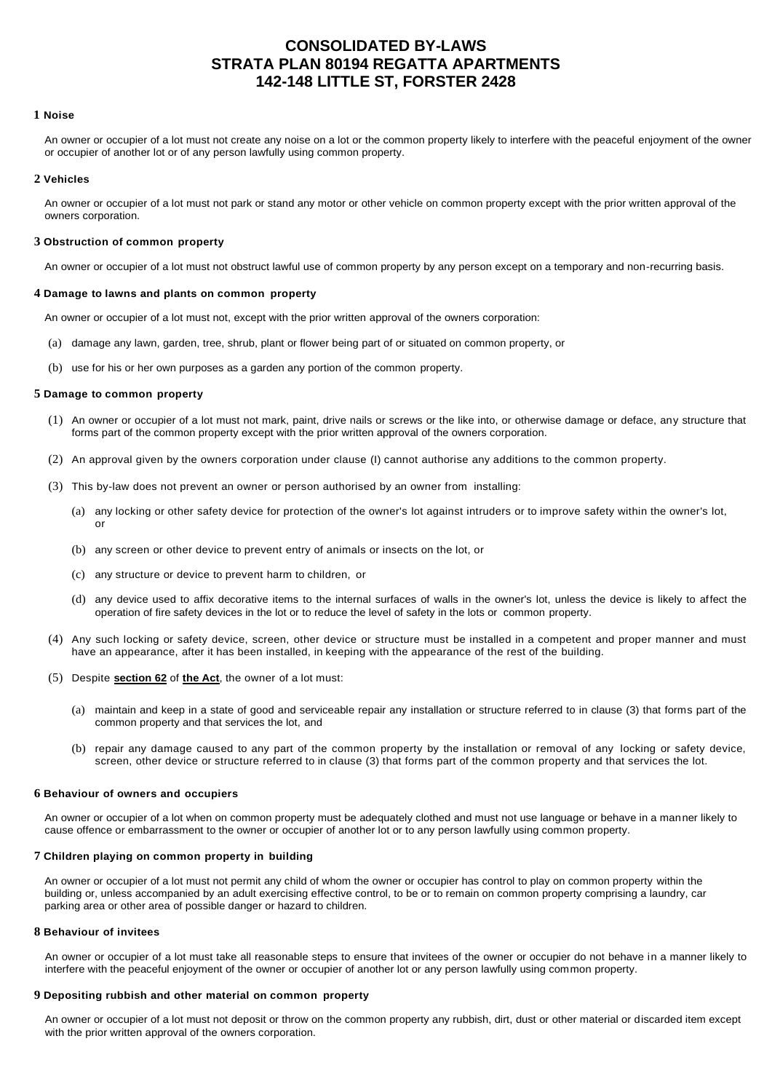# **CONSOLIDATED BY-LAWS STRATA PLAN 80194 REGATTA APARTMENTS 142-148 LITTLE ST, FORSTER 2428**

#### **1 Noise**

An owner or occupier of a lot must not create any noise on a lot or the common property likely to interfere with the peaceful enjoyment of the owner or occupier of another lot or of any person lawfully using common property.

### **2 Vehicles**

An owner or occupier of a lot must not park or stand any motor or other vehicle on common property except with the prior written approval of the owners corporation.

#### **3 Obstruction of common property**

An owner or occupier of a lot must not obstruct lawful use of common property by any person except on a temporary and non-recurring basis.

#### **4 Damage to lawns and plants on common property**

An owner or occupier of a lot must not, except with the prior written approval of the owners corporation:

- (a) damage any lawn, garden, tree, shrub, plant or flower being part of or situated on common property, or
- (b) use for his or her own purposes as a garden any portion of the common property.

## **5 Damage to common property**

- (1) An owner or occupier of a lot must not mark, paint, drive nails or screws or the like into, or otherwise damage or deface, any structure that forms part of the common property except with the prior written approval of the owners corporation.
- (2) An approval given by the owners corporation under clause (I) cannot authorise any additions to the common property.
- (3) This by-law does not prevent an owner or person authorised by an owner from installing:
	- (a) any locking or other safety device for protection of the owner's lot against intruders or to improve safety within the owner's lot, or
	- (b) any screen or other device to prevent entry of animals or insects on the lot, or
	- (c) any structure or device to prevent harm to children, or
	- (d) any device used to affix decorative items to the internal surfaces of walls in the owner's lot, unless the device is likely to affect the operation of fire safety devices in the lot or to reduce the level of safety in the lots or common property.
- (4) Any such locking or safety device, screen, other device or structure must be installed in a competent and proper manner and must have an appearance, after it has been installed, in keeping with the appearance of the rest of the building.
- (5) Despite **section 62** of **the Act**, the owner of a lot must:
	- (a) maintain and keep in a state of good and serviceable repair any installation or structure referred to in clause (3) that forms part of the common property and that services the lot, and
	- (b) repair any damage caused to any part of the common property by the installation or removal of any locking or safety device, screen, other device or structure referred to in clause (3) that forms part of the common property and that services the lot.

#### **6 Behaviour of owners and occupiers**

An owner or occupier of a lot when on common property must be adequately clothed and must not use language or behave in a manner likely to cause offence or embarrassment to the owner or occupier of another lot or to any person lawfully using common property.

# **7 Children playing on common property in building**

An owner or occupier of a lot must not permit any child of whom the owner or occupier has control to play on common property within the building or, unless accompanied by an adult exercising effective control, to be or to remain on common property comprising a laundry, car parking area or other area of possible danger or hazard to children.

#### **8 Behaviour of invitees**

An owner or occupier of a lot must take all reasonable steps to ensure that invitees of the owner or occupier do not behave in a manner likely to interfere with the peaceful enjoyment of the owner or occupier of another lot or any person lawfully using common property.

# **9 Depositing rubbish and other material on common property**

An owner or occupier of a lot must not deposit or throw on the common property any rubbish, dirt, dust or other material or discarded item except with the prior written approval of the owners corporation.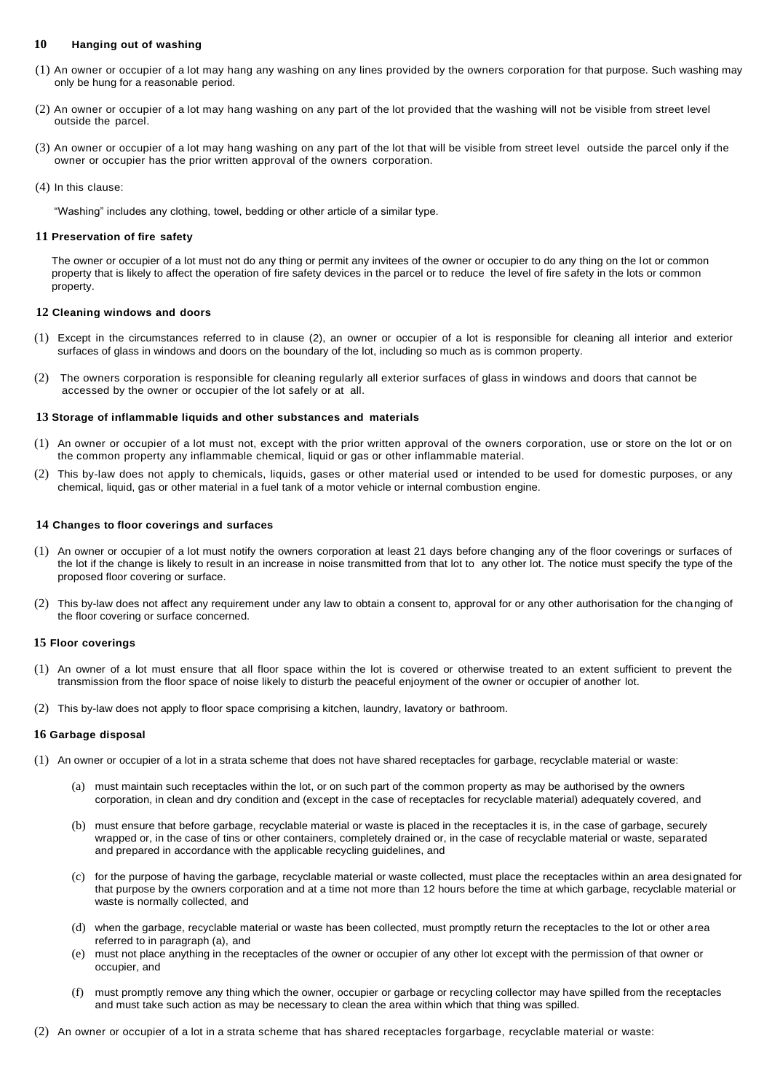# **10 Hanging out of washing**

- (1) An owner or occupier of a lot may hang any washing on any lines provided by the owners corporation for that purpose. Such washing may only be hung for a reasonable period.
- (2) An owner or occupier of a lot may hang washing on any part of the lot provided that the washing will not be visible from street level outside the parcel.
- (3) An owner or occupier of a lot may hang washing on any part of the lot that will be visible from street level outside the parcel only if the owner or occupier has the prior written approval of the owners corporation.
- (4) In this clause:

"Washing" includes any clothing, towel, bedding or other article of a similar type.

# **11 Preservation of fire safety**

The owner or occupier of a lot must not do any thing or permit any invitees of the owner or occupier to do any thing on the lot or common property that is likely to affect the operation of fire safety devices in the parcel or to reduce the level of fire safety in the lots or common property.

# **12 Cleaning windows and doors**

- (1) Except in the circumstances referred to in clause (2), an owner or occupier of a lot is responsible for cleaning all interior and exterior surfaces of glass in windows and doors on the boundary of the lot, including so much as is common property.
- (2) The owners corporation is responsible for cleaning regularly all exterior surfaces of glass in windows and doors that cannot be accessed by the owner or occupier of the lot safely or at all.

# **13 Storage of inflammable liquids and other substances and materials**

- (1) An owner or occupier of a lot must not, except with the prior written approval of the owners corporation, use or store on the lot or on the common property any inflammable chemical, liquid or gas or other inflammable material.
- (2) This by-law does not apply to chemicals, liquids, gases or other material used or intended to be used for domestic purposes, or any chemical, liquid, gas or other material in a fuel tank of a motor vehicle or internal combustion engine.

# **14 Changes to floor coverings and surfaces**

- (1) An owner or occupier of a lot must notify the owners corporation at least 21 days before changing any of the floor coverings or surfaces of the lot if the change is likely to result in an increase in noise transmitted from that lot to any other lot. The notice must specify the type of the proposed floor covering or surface.
- (2) This by-law does not affect any requirement under any law to obtain a consent to, approval for or any other authorisation for the changing of the floor covering or surface concerned.

### **15 Floor coverings**

- (1) An owner of a lot must ensure that all floor space within the lot is covered or otherwise treated to an extent sufficient to prevent the transmission from the floor space of noise likely to disturb the peaceful enjoyment of the owner or occupier of another lot.
- (2) This by-law does not apply to floor space comprising a kitchen, laundry, lavatory or bathroom.

### **16 Garbage disposal**

- (1) An owner or occupier of a lot in a strata scheme that does not have shared receptacles for garbage, recyclable material or waste:
	- (a) must maintain such receptacles within the lot, or on such part of the common property as may be authorised by the owners corporation, in clean and dry condition and (except in the case of receptacles for recyclable material) adequately covered, and
	- (b) must ensure that before garbage, recyclable material or waste is placed in the receptacles it is, in the case of garbage, securely wrapped or, in the case of tins or other containers, completely drained or, in the case of recyclable material or waste, separated and prepared in accordance with the applicable recycling guidelines, and
	- (c) for the purpose of having the garbage, recyclable material or waste collected, must place the receptacles within an area designated for that purpose by the owners corporation and at a time not more than 12 hours before the time at which garbage, recyclable material or waste is normally collected, and
	- (d) when the garbage, recyclable material or waste has been collected, must promptly return the receptacles to the lot or other area referred to in paragraph (a), and
	- (e) must not place anything in the receptacles of the owner or occupier of any other lot except with the permission of that owner or occupier, and
	- (f) must promptly remove any thing which the owner, occupier or garbage or recycling collector may have spilled from the receptacles and must take such action as may be necessary to clean the area within which that thing was spilled.
- (2) An owner or occupier of a lot in a strata scheme that has shared receptacles forgarbage, recyclable material or waste: